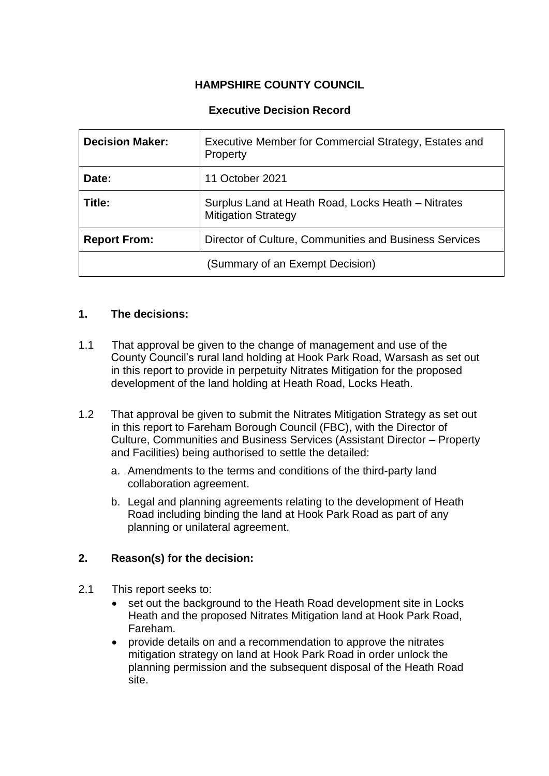# **HAMPSHIRE COUNTY COUNCIL**

### **Executive Decision Record**

| <b>Decision Maker:</b>          | Executive Member for Commercial Strategy, Estates and<br><b>Property</b>         |
|---------------------------------|----------------------------------------------------------------------------------|
| Date:                           | 11 October 2021                                                                  |
| Title:                          | Surplus Land at Heath Road, Locks Heath – Nitrates<br><b>Mitigation Strategy</b> |
| <b>Report From:</b>             | Director of Culture, Communities and Business Services                           |
| (Summary of an Exempt Decision) |                                                                                  |

#### **1. The decisions:**

- 1.1 That approval be given to the change of management and use of the County Council's rural land holding at Hook Park Road, Warsash as set out in this report to provide in perpetuity Nitrates Mitigation for the proposed development of the land holding at Heath Road, Locks Heath.
- 1.2 That approval be given to submit the Nitrates Mitigation Strategy as set out in this report to Fareham Borough Council (FBC), with the Director of Culture, Communities and Business Services (Assistant Director – Property and Facilities) being authorised to settle the detailed:
	- a. Amendments to the terms and conditions of the third-party land collaboration agreement.
	- b. Legal and planning agreements relating to the development of Heath Road including binding the land at Hook Park Road as part of any planning or unilateral agreement.

#### **2. Reason(s) for the decision:**

- 2.1 This report seeks to:
	- set out the background to the Heath Road development site in Locks Heath and the proposed Nitrates Mitigation land at Hook Park Road, Fareham.
	- provide details on and a recommendation to approve the nitrates mitigation strategy on land at Hook Park Road in order unlock the planning permission and the subsequent disposal of the Heath Road site.